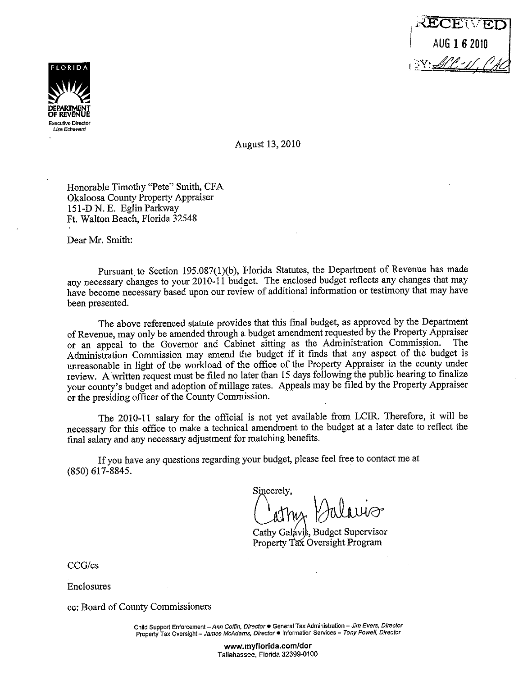



August 13, 2010

Honorable Timothy "Pete" Smith, CFA Okaloosa County Property Appraiser 151-D N. E. Eglin Parkway Ft. Walton Beach, Florida 32548

Dear Mr. Smith:

Pursuant to Section 195.087(1)(b), Florida Statutes, the Department of Revenue has made any necessary changes to your 2010-11 budget. The enclosed budget reflects any changes that may have become necessary based upon our review of additional information or testimony that may have been presented.

The above referenced statute provides that this final budget, as approved by the Department of Revenue, may only be amended through a budget amendment requested by the Property Appraiser<br>or an anneal to the Governor and Cabinet sitting as the Administration Commission. The or an appeal to the Governor and Cabinet sitting as the Administration Commission. Administration Commission may amend the budget if it finds that any aspect of the budget is unreasonable in light of the workload of the office of the Property Appraiser in the county under review. A written request must be filed no later than 15 days following the public hearing to finalize your county's budget and adoption of millage rates. Appeals may be filed by the Property Appraiser or the presiding officer of the County Commission.

The 2010-11 salary for the official is not yet available from LCIR. Therefore, it will be necessary for this office to make a technical amendment to the budget at a later date to reflect the final salary and any necessary adjustment for matching benefits.

If you have any questions regarding your budget, please feel free to contact me at (850) 617-8845.

Sincerely,

Cathy Galávis, Budget Supervisor Property Tax Oversight Program

CCG/cs

Enclosures

cc: Board of County Commissioners

**Child Support Enforcement -Ann Coffin, Director• General Tax Administration - Jim Evers, Director Property Tax Oversight- James McAdams, Director• Information Services - Tony Powell, Director** 

> **www.myflorida.com/dor**  Tallahassee, Florida 32399-0100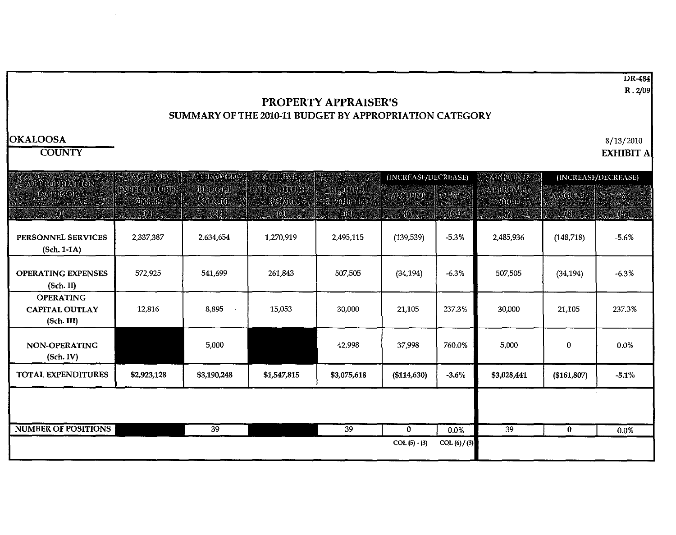DR-484 R. *2/09* 

### **PROPERTY APPRAISER'S**  SUMMARY OF THE 2010-11 BUDGET BY APPROPRIATION CATEGORY

#### **OKALOOSA**

**COUNTY** 

 $\sim 10^{-1}$ 

8/13/2010

**EXHIBIT A** 

| АШЕКОРКИЛОК                                             | 八〇四小国                           | $\Lambda$ CTIOAT        | (INCREASE/DECREASE)             |                       |                | $\lambda$ MOUNT<br>(INCREASE/DECREASE)<br>APPROVID |                           |               |         |
|---------------------------------------------------------|---------------------------------|-------------------------|---------------------------------|-----------------------|----------------|----------------------------------------------------|---------------------------|---------------|---------|
| CATHGORY                                                | <b>ADERSON TORKS</b><br>2009-09 | B(3)9(3)<br>$2009 - 10$ | <b>DEPENDIVIOR ES</b><br>3/5/10 | RICOLUISA<br>2010-11  | AMOUNT         | Y6.                                                | $20\,0$ m                 | <b>AMOURE</b> | .<br>Va |
| $\mathcal{L}(\mathbf{0})$                               | $\langle 2 \rangle$             | $\circledast$           | $\langle 0 \rangle$             | $\langle 5 \rangle$ . | (6)            | $\{(6e)\}$                                         | $\langle \hat{Z} \rangle$ | $\circledS$   | (66)    |
| PERSONNEL SERVICES<br>$(Sch. 1-1A)$                     | 2,337,387                       | 2,634,654               | 1,270,919                       | 2,495,115             | (139, 539)     | $-5.3%$                                            | 2,485,936                 | (148, 718)    | $-5.6%$ |
| <b>OPERATING EXPENSES</b><br>(Sch. II)                  | 572,925                         | 541,699                 | 261,843                         | 507,505               | (34, 194)      | $-6.3%$                                            | 507,505                   | (34.194)      | $-6.3%$ |
| <b>OPERATING</b><br><b>CAPITAL OUTLAY</b><br>(Sch. III) | 12,816                          | 8,895<br>$\bullet$      | 15,053                          | 30,000                | 21,105         | 237.3%                                             | 30,000                    | 21,105        | 237.3%  |
| NON-OPERATING<br>(Sch. IV)                              |                                 | 5,000                   |                                 | 42,998                | 37,998         | 760.0%                                             | 5,000                     | $\Omega$      | 0.0%    |
| TOTAL EXPENDITURES                                      | \$2,923,128                     | \$3,190,248             | \$1,547,815                     | \$3,075,618           | ( \$114,630)   | $-3.6%$                                            | \$3,028,441               | (\$161,807)   | $-5.1%$ |
|                                                         |                                 |                         |                                 |                       |                |                                                    |                           |               |         |
| <b>NUMBER OF POSITIONS</b>                              |                                 | 39                      |                                 | 39                    | $\bf{0}$       | 0.0%                                               | 39                        | $\bf{0}$      | 0.0%    |
|                                                         |                                 |                         |                                 |                       | $COL(5) - (3)$ | COL(6) / (3)                                       |                           |               |         |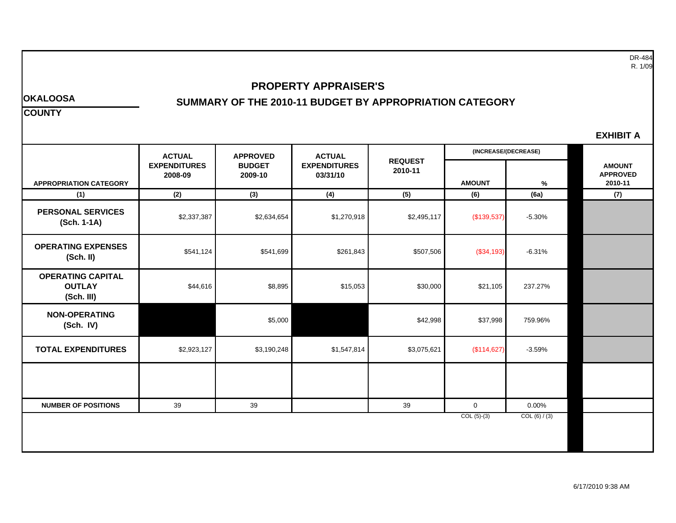DR-484 R. 1/09

#### **PROPERTY APPRAISER'S**

#### **OKALOOSA SUMMARY OF THE 2010-11 BUDGET BY APPROPRIATION CATEGORY**

**COUNTY** 

| EXHIBIT |  |
|---------|--|
|         |  |

|                                                         | <b>ACTUAL</b>                  | <b>APPROVED</b>          | <b>ACTUAL</b>                   |                           |               | (INCREASE/(DECREASE) |                                             |
|---------------------------------------------------------|--------------------------------|--------------------------|---------------------------------|---------------------------|---------------|----------------------|---------------------------------------------|
| <b>APPROPRIATION CATEGORY</b>                           | <b>EXPENDITURES</b><br>2008-09 | <b>BUDGET</b><br>2009-10 | <b>EXPENDITURES</b><br>03/31/10 | <b>REQUEST</b><br>2010-11 | <b>AMOUNT</b> | %                    | <b>AMOUNT</b><br><b>APPROVED</b><br>2010-11 |
| (1)                                                     | (2)                            | (3)                      | (4)                             | (5)                       | (6)           | (6a)                 | (7)                                         |
| <b>PERSONAL SERVICES</b><br>(Sch. 1-1A)                 | \$2,337,387                    | \$2,634,654              | \$1,270,918                     | \$2,495,117               | (\$139,537)   | $-5.30%$             |                                             |
| <b>OPERATING EXPENSES</b><br>(Sch. II)                  | \$541,124                      | \$541,699                | \$261,843                       | \$507,506                 | ( \$34, 193)  | $-6.31%$             |                                             |
| <b>OPERATING CAPITAL</b><br><b>OUTLAY</b><br>(Sch. III) | \$44,616                       | \$8,895                  | \$15,053                        | \$30,000                  | \$21,105      | 237.27%              |                                             |
| <b>NON-OPERATING</b><br>(Sch. IV)                       |                                | \$5,000                  |                                 | \$42,998                  | \$37,998      | 759.96%              |                                             |
| <b>TOTAL EXPENDITURES</b>                               | \$2,923,127                    | \$3,190,248              | \$1,547,814                     | \$3,075,621               | (\$114,627)   | $-3.59%$             |                                             |
|                                                         |                                |                          |                                 |                           |               |                      |                                             |
| <b>NUMBER OF POSITIONS</b>                              | 39                             | 39                       |                                 | 39                        | $\mathbf{0}$  | 0.00%                |                                             |
|                                                         |                                |                          |                                 |                           | $COL(5)-(3)$  | COL (6) / (3)        |                                             |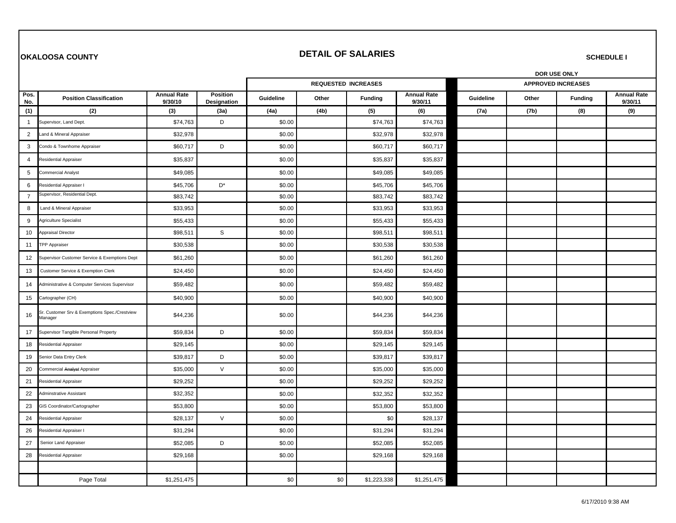#### **OKALOOSA COUNTY** *DETAIL OF SALARIES*

**SCHEDULE I** 

|                |                                                          |                               |                                | DOR USE ONLY |       |                            |                               |           |       |                           |                               |
|----------------|----------------------------------------------------------|-------------------------------|--------------------------------|--------------|-------|----------------------------|-------------------------------|-----------|-------|---------------------------|-------------------------------|
|                |                                                          |                               |                                |              |       | <b>REQUESTED INCREASES</b> |                               |           |       | <b>APPROVED INCREASES</b> |                               |
| Pos.<br>No.    | <b>Position Classification</b>                           | <b>Annual Rate</b><br>9/30/10 | <b>Position</b><br>Designation | Guideline    | Other | <b>Funding</b>             | <b>Annual Rate</b><br>9/30/11 | Guideline | Other | <b>Funding</b>            | <b>Annual Rate</b><br>9/30/11 |
| (1)            | (2)                                                      | (3)                           | (3a)                           | (4a)         | (4b)  | (5)                        | (6)                           | (7a)      | (7b)  | (8)                       | (9)                           |
| $\mathbf{1}$   | Supervisor, Land Dept.                                   | \$74,763                      | D                              | \$0.00       |       | \$74,763                   | \$74,763                      |           |       |                           |                               |
| $\overline{2}$ | and & Mineral Appraiser                                  | \$32,978                      |                                | \$0.00       |       | \$32,978                   | \$32,978                      |           |       |                           |                               |
| 3              | Condo & Townhome Appraiser                               | \$60,717                      | D                              | \$0.00       |       | \$60,717                   | \$60,717                      |           |       |                           |                               |
| 4              | Residential Appraiser                                    | \$35,837                      |                                | \$0.00       |       | \$35,837                   | \$35,837                      |           |       |                           |                               |
| 5              | Commercial Analyst                                       | \$49,085                      |                                | \$0.00       |       | \$49,085                   | \$49,085                      |           |       |                           |                               |
| 6              | Residential Appraiser I                                  | \$45,706                      | $\mathsf{D}^\star$             | \$0.00       |       | \$45,706                   | \$45,706                      |           |       |                           |                               |
| $\overline{7}$ | Supervisor, Residential Dept.                            | \$83,742                      |                                | \$0.00       |       | \$83,742                   | \$83,742                      |           |       |                           |                               |
| 8              | Land & Mineral Appraiser                                 | \$33,953                      |                                | \$0.00       |       | \$33,953                   | \$33,953                      |           |       |                           |                               |
| 9              | Agriculture Specialist                                   | \$55,433                      |                                | \$0.00       |       | \$55,433                   | \$55,433                      |           |       |                           |                               |
| 10             | Appraisal Director                                       | \$98,511                      | $\mathsf S$                    | \$0.00       |       | \$98,511                   | \$98,511                      |           |       |                           |                               |
| 11             | <b>TPP Appraiser</b>                                     | \$30,538                      |                                | \$0.00       |       | \$30,538                   | \$30,538                      |           |       |                           |                               |
| 12             | Supervisor Customer Service & Exemptions Dept            | \$61,260                      |                                | \$0.00       |       | \$61,260                   | \$61,260                      |           |       |                           |                               |
| 13             | Customer Service & Exemption Clerk                       | \$24,450                      |                                | \$0.00       |       | \$24,450                   | \$24,450                      |           |       |                           |                               |
| 14             | Administrative & Computer Services Supervisor            | \$59,482                      |                                | \$0.00       |       | \$59,482                   | \$59,482                      |           |       |                           |                               |
| 15             | Cartographer (CH)                                        | \$40,900                      |                                | \$0.00       |       | \$40,900                   | \$40,900                      |           |       |                           |                               |
| 16             | Sr. Customer Srv & Exemptions Spec./Crestview<br>Manager | \$44,236                      |                                | \$0.00       |       | \$44,236                   | \$44,236                      |           |       |                           |                               |
| 17             | Supervisor Tangible Personal Property                    | \$59,834                      | D                              | \$0.00       |       | \$59,834                   | \$59,834                      |           |       |                           |                               |
| 18             | Residential Appraiser                                    | \$29,145                      |                                | \$0.00       |       | \$29,145                   | \$29,145                      |           |       |                           |                               |
| 19             | Senior Data Entry Clerk                                  | \$39,817                      | D                              | \$0.00       |       | \$39,817                   | \$39,817                      |           |       |                           |                               |
| 20             | Commercial Analyst Appraiser                             | \$35,000                      | $\vee$                         | \$0.00       |       | \$35,000                   | \$35,000                      |           |       |                           |                               |
| 21             | Residential Appraiser                                    | \$29,252                      |                                | \$0.00       |       | \$29,252                   | \$29,252                      |           |       |                           |                               |
| 22             | Adminstrative Assistant                                  | \$32,352                      |                                | \$0.00       |       | \$32,352                   | \$32,352                      |           |       |                           |                               |
| 23             | GIS Coordinator/Cartographer                             | \$53,800                      |                                | \$0.00       |       | \$53,800                   | \$53,800                      |           |       |                           |                               |
| 24             | Residential Appraiser                                    | \$28,137                      | $\vee$                         | \$0.00       |       | \$0                        | \$28,137                      |           |       |                           |                               |
| 26             | Residential Appraiser I                                  | \$31,294                      |                                | \$0.00       |       | \$31,294                   | \$31,294                      |           |       |                           |                               |
| 27             | Senior Land Appraiser                                    | \$52,085                      | D                              | \$0.00       |       | \$52,085                   | \$52,085                      |           |       |                           |                               |
| 28             | Residential Appraiser                                    | \$29,168                      |                                | \$0.00       |       | \$29,168                   | \$29,168                      |           |       |                           |                               |
|                |                                                          |                               |                                |              |       |                            |                               |           |       |                           |                               |
|                | Page Total                                               | \$1,251,475                   |                                | \$0          | \$0   | \$1,223,338                | \$1,251,475                   |           |       |                           |                               |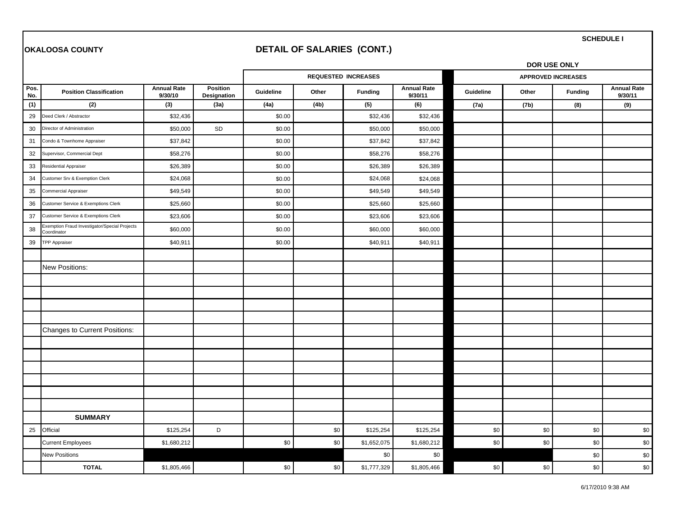#### **OKALOOSA COUNTY DETAIL OF SALARIES (CONT.)**

**SCHEDULE I** 

|             |                                                              |                               |                                |           |       |                            |                               | DOR USE ONLY |       |                           |                               |
|-------------|--------------------------------------------------------------|-------------------------------|--------------------------------|-----------|-------|----------------------------|-------------------------------|--------------|-------|---------------------------|-------------------------------|
|             |                                                              |                               |                                |           |       | <b>REQUESTED INCREASES</b> |                               |              |       | <b>APPROVED INCREASES</b> |                               |
| Pos.<br>No. | <b>Position Classification</b>                               | <b>Annual Rate</b><br>9/30/10 | <b>Position</b><br>Designation | Guideline | Other | <b>Funding</b>             | <b>Annual Rate</b><br>9/30/11 | Guideline    | Other | <b>Funding</b>            | <b>Annual Rate</b><br>9/30/11 |
| (1)         | (2)                                                          | (3)                           | (3a)                           | (4a)      | (4b)  | (5)                        | (6)                           | (7a)         | (7b)  | (8)                       | (9)                           |
| 29          | Deed Clerk / Abstractor                                      | \$32,436                      |                                | \$0.00    |       | \$32,436                   | \$32,436                      |              |       |                           |                               |
| 30          | Director of Administration                                   | \$50,000                      | SD                             | \$0.00    |       | \$50,000                   | \$50,000                      |              |       |                           |                               |
| 31          | Condo & Townhome Appraiser                                   | \$37,842                      |                                | \$0.00    |       | \$37,842                   | \$37,842                      |              |       |                           |                               |
| 32          | Supervisor, Commercial Dept                                  | \$58,276                      |                                | \$0.00    |       | \$58,276                   | \$58,276                      |              |       |                           |                               |
| 33          | <b>Residential Appraiser</b>                                 | \$26,389                      |                                | \$0.00    |       | \$26,389                   | \$26,389                      |              |       |                           |                               |
| 34          | Customer Srv & Exemption Clerk                               | \$24,068                      |                                | \$0.00    |       | \$24,068                   | \$24,068                      |              |       |                           |                               |
| 35          | <b>Commercial Appraiser</b>                                  | \$49,549                      |                                | \$0.00    |       | \$49,549                   | \$49,549                      |              |       |                           |                               |
| 36          | Customer Service & Exemptions Clerk                          | \$25,660                      |                                | \$0.00    |       | \$25,660                   | \$25,660                      |              |       |                           |                               |
| 37          | Customer Service & Exemptions Clerk                          | \$23,606                      |                                | \$0.00    |       | \$23,606                   | \$23,606                      |              |       |                           |                               |
| 38          | Exemption Fraud Investigator/Special Projects<br>Coordinator | \$60,000                      |                                | \$0.00    |       | \$60,000                   | \$60,000                      |              |       |                           |                               |
| 39          | <b>TPP Appraiser</b>                                         | \$40,911                      |                                | \$0.00    |       | \$40,911                   | \$40,911                      |              |       |                           |                               |
|             |                                                              |                               |                                |           |       |                            |                               |              |       |                           |                               |
|             | <b>New Positions:</b>                                        |                               |                                |           |       |                            |                               |              |       |                           |                               |
|             |                                                              |                               |                                |           |       |                            |                               |              |       |                           |                               |
|             |                                                              |                               |                                |           |       |                            |                               |              |       |                           |                               |
|             |                                                              |                               |                                |           |       |                            |                               |              |       |                           |                               |
|             |                                                              |                               |                                |           |       |                            |                               |              |       |                           |                               |
|             | Changes to Current Positions:                                |                               |                                |           |       |                            |                               |              |       |                           |                               |
|             |                                                              |                               |                                |           |       |                            |                               |              |       |                           |                               |
|             |                                                              |                               |                                |           |       |                            |                               |              |       |                           |                               |
|             |                                                              |                               |                                |           |       |                            |                               |              |       |                           |                               |
|             |                                                              |                               |                                |           |       |                            |                               |              |       |                           |                               |
|             |                                                              |                               |                                |           |       |                            |                               |              |       |                           |                               |
|             |                                                              |                               |                                |           |       |                            |                               |              |       |                           |                               |
|             | <b>SUMMARY</b>                                               |                               |                                |           |       |                            |                               |              |       |                           |                               |
| 25          | Official                                                     | \$125,254                     | D                              |           | \$0   | \$125,254                  | \$125,254                     | \$0          | \$0   | \$0                       | \$0                           |
|             | <b>Current Employees</b>                                     | \$1,680,212                   |                                | \$0       | \$0   | \$1,652,075                | \$1,680,212                   | \$0          | \$0   | \$0                       | \$0                           |
|             | <b>New Positions</b>                                         |                               |                                |           |       | \$0                        | \$0                           |              |       | \$0                       | \$0                           |
|             | <b>TOTAL</b>                                                 | \$1,805,466                   |                                | \$0       | \$0   | \$1,777,329                | \$1,805,466                   | \$0          | \$0   | \$0                       | \$0                           |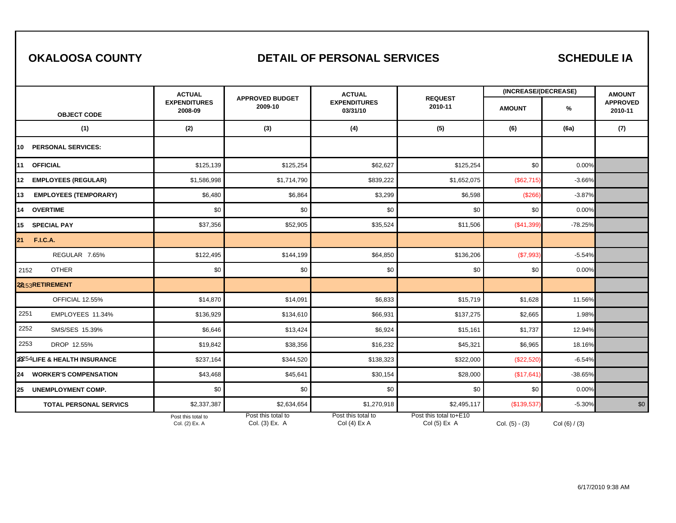### **OKALOOSA COUNTY DETAIL OF PERSONAL SERVICES**

### **SCHEDULE IA**

|                                    | <b>ACTUAL</b>                        |                                      | <b>ACTUAL</b>                        |                                        | (INCREASE/(DECREASE) |                 | <b>AMOUNT</b>              |
|------------------------------------|--------------------------------------|--------------------------------------|--------------------------------------|----------------------------------------|----------------------|-----------------|----------------------------|
| <b>OBJECT CODE</b>                 | <b>EXPENDITURES</b><br>2008-09       | <b>APPROVED BUDGET</b><br>2009-10    | <b>EXPENDITURES</b><br>03/31/10      | <b>REQUEST</b><br>2010-11              | <b>AMOUNT</b>        | %               | <b>APPROVED</b><br>2010-11 |
| (1)                                | (2)                                  | (3)                                  | (4)                                  | (5)                                    | (6)                  | (6a)            | (7)                        |
| <b>PERSONAL SERVICES:</b><br>10    |                                      |                                      |                                      |                                        |                      |                 |                            |
| <b>OFFICIAL</b><br>11              | \$125,139                            | \$125,254                            | \$62,627                             | \$125,254                              | \$0                  | 0.00%           |                            |
| <b>EMPLOYEES (REGULAR)</b><br>12   | \$1,586,998                          | \$1,714,790                          | \$839,222                            | \$1,652,075                            | (\$62,715)           | $-3.66%$        |                            |
| <b>EMPLOYEES (TEMPORARY)</b><br>13 | \$6,480                              | \$6,864                              | \$3,299                              | \$6,598                                | (\$266)              | $-3.87%$        |                            |
| 14 OVERTIME                        | \$0                                  | \$0                                  | \$0                                  | \$0                                    | \$0                  | 0.00%           |                            |
| 15<br><b>SPECIAL PAY</b>           | \$37,356                             | \$52,905                             | \$35,524                             | \$11,506                               | (\$41,399            | $-78.25%$       |                            |
| 21<br><b>F.I.C.A.</b>              |                                      |                                      |                                      |                                        |                      |                 |                            |
| REGULAR 7.65%                      | \$122,495                            | \$144,199                            | \$64,850                             | \$136,206                              | (\$7,993)            | $-5.54%$        |                            |
| <b>OTHER</b><br>2152               | \$0                                  | \$0                                  | \$0                                  | \$0                                    | \$0                  | 0.00%           |                            |
| 22153RETIREMENT                    |                                      |                                      |                                      |                                        |                      |                 |                            |
| OFFICIAL 12.55%                    | \$14,870                             | \$14,091                             | \$6,833                              | \$15,719                               | \$1,628              | 11.56%          |                            |
| 2251<br>EMPLOYEES 11.34%           | \$136,929                            | \$134,610                            | \$66,931                             | \$137,275                              | \$2,665              | 1.98%           |                            |
| 2252<br>SMS/SES 15.39%             | \$6,646                              | \$13,424                             | \$6,924                              | \$15,161                               | \$1,737              | 12.94%          |                            |
| 2253<br>DROP 12.55%                | \$19,842                             | \$38,356                             | \$16,232                             | \$45,321                               | \$6,965              | 18.16%          |                            |
| 23254 LIFE & HEALTH INSURANCE      | \$237,164                            | \$344,520                            | \$138,323                            | \$322,000                              | (\$22,520)           | $-6.54%$        |                            |
| 24 WORKER'S COMPENSATION           | \$43,468                             | \$45,641                             | \$30,154                             | \$28,000                               | (\$17,641            | $-38.65%$       |                            |
| 25<br><b>UNEMPLOYMENT COMP.</b>    | \$0                                  | \$0                                  | \$0                                  | \$0                                    | \$0                  | 0.00%           |                            |
| <b>TOTAL PERSONAL SERVICS</b>      | \$2,337,387                          | \$2,634,654                          | \$1,270,918                          | \$2,495,117                            | (\$139,537)          | $-5.30%$        | \$0                        |
|                                    | Post this total to<br>Col. (2) Ex. A | Post this total to<br>Col. (3) Ex. A | Post this total to<br>Col $(4)$ Ex A | Post this total to+E10<br>Col (5) Ex A | Col. $(5) - (3)$     | Col $(6) / (3)$ |                            |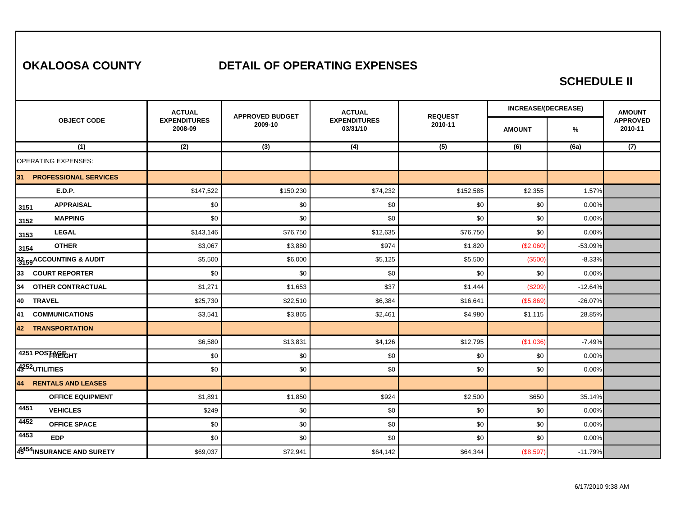### **OKALOOSA COUNTY DETAIL OF OPERATING EXPENSES**

#### **SCHEDULE II**

|                                    | <b>ACTUAL</b>                  | <b>APPROVED BUDGET</b> | <b>ACTUAL</b>                   | <b>REQUEST</b> | <b>INCREASE/(DECREASE)</b> |           | <b>AMOUNT</b>              |
|------------------------------------|--------------------------------|------------------------|---------------------------------|----------------|----------------------------|-----------|----------------------------|
| <b>OBJECT CODE</b>                 | <b>EXPENDITURES</b><br>2008-09 | 2009-10                | <b>EXPENDITURES</b><br>03/31/10 | 2010-11        | <b>AMOUNT</b>              | %         | <b>APPROVED</b><br>2010-11 |
| (1)                                | (2)                            | (3)                    | (4)                             | (5)            | (6)                        | (6a)      | (7)                        |
| <b>OPERATING EXPENSES:</b>         |                                |                        |                                 |                |                            |           |                            |
| <b>PROFESSIONAL SERVICES</b><br>31 |                                |                        |                                 |                |                            |           |                            |
| <b>E.D.P.</b>                      | \$147,522                      | \$150,230              | \$74,232                        | \$152,585      | \$2,355                    | 1.57%     |                            |
| <b>APPRAISAL</b><br>3151           | \$0                            | \$0                    | \$0                             | \$0            | \$0                        | 0.00%     |                            |
| <b>MAPPING</b><br>3152             | \$0                            | \$0                    | \$0                             | \$0            | \$0                        | 0.00%     |                            |
| <b>LEGAL</b><br>3153               | \$143,146                      | \$76,750               | \$12,635                        | \$76,750       | \$0                        | 0.00%     |                            |
| <b>OTHER</b><br>3154               | \$3,067                        | \$3,880                | \$974                           | \$1,820        | (\$2,060                   | $-53.09%$ |                            |
| 33159 ACCOUNTING & AUDIT           | \$5,500                        | \$6,000                | \$5,125                         | \$5,500        | (\$500                     | $-8.33%$  |                            |
| 33<br><b>COURT REPORTER</b>        | \$0                            | \$0                    | \$0                             | \$0            | \$0                        | 0.00%     |                            |
| 34<br><b>OTHER CONTRACTUAL</b>     | \$1,271                        | \$1,653                | \$37                            | \$1,444        | (\$209                     | $-12.64%$ |                            |
| <b>TRAVEL</b><br>40                | \$25,730                       | \$22,510               | \$6,384                         | \$16,641       | (\$5,869                   | $-26.07%$ |                            |
| 41<br><b>COMMUNICATIONS</b>        | \$3,541                        | \$3,865                | \$2,461                         | \$4,980        | \$1,115                    | 28.85%    |                            |
| <b>42 TRANSPORTATION</b>           |                                |                        |                                 |                |                            |           |                            |
|                                    | \$6,580                        | \$13,831               | \$4,126                         | \$12,795       | (\$1,036                   | $-7.49%$  |                            |
| 4251 POSTRETGHT                    | \$0                            | \$0                    | \$0                             | \$0            | \$0                        | 0.00%     |                            |
| 43252 UTILITIES                    | \$0                            | \$0                    | \$0                             | \$0            | \$0                        | 0.00%     |                            |
| 44<br><b>RENTALS AND LEASES</b>    |                                |                        |                                 |                |                            |           |                            |
| <b>OFFICE EQUIPMENT</b>            | \$1,891                        | \$1,850                | \$924                           | \$2,500        | \$650                      | 35.14%    |                            |
| 4451<br><b>VEHICLES</b>            | \$249                          | \$0                    | \$0                             | \$0            | \$0                        | 0.00%     |                            |
| 4452<br><b>OFFICE SPACE</b>        | \$0                            | \$0                    | \$0                             | \$0            | \$0                        | 0.00%     |                            |
| 4453<br><b>EDP</b>                 | \$0                            | \$0                    | \$0                             | \$0            | \$0                        | 0.00%     |                            |
| 4541 INSURANCE AND SURETY          | \$69,037                       | \$72,941               | \$64,142                        | \$64,344       | (\$8,597)                  | $-11.79%$ |                            |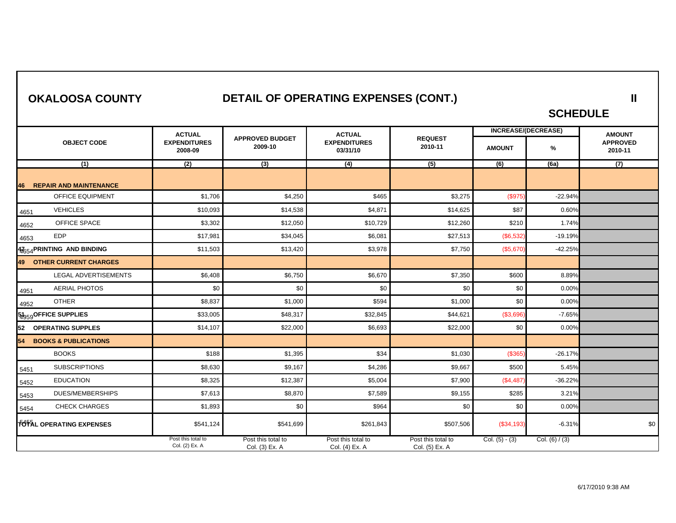| <b>OKALOOSA COUNTY</b> |  |
|------------------------|--|
|------------------------|--|

## **DETAIL OF OPERATING EXPENSES (CONT.)**

**SCHEDULE** 

**II** 

|                                       | <b>ACTUAL</b>                        |                                      | <b>ACTUAL</b>                        |                                      |                  | <b>INCREASE/(DECREASE)</b> | <b>AMOUNT</b>              |
|---------------------------------------|--------------------------------------|--------------------------------------|--------------------------------------|--------------------------------------|------------------|----------------------------|----------------------------|
| <b>OBJECT CODE</b>                    | <b>EXPENDITURES</b><br>2008-09       | <b>APPROVED BUDGET</b><br>2009-10    | <b>EXPENDITURES</b><br>03/31/10      | <b>REQUEST</b><br>2010-11            | <b>AMOUNT</b>    | $\%$                       | <b>APPROVED</b><br>2010-11 |
| (1)                                   | (2)                                  | (3)                                  | (4)                                  | $\overline{(5)}$                     | $\overline{(6)}$ | (6a)                       | $\overline{(7)}$           |
| <b>REPAIR AND MAINTENANCE</b><br>46   |                                      |                                      |                                      |                                      |                  |                            |                            |
| OFFICE EQUIPMENT                      | \$1,706                              | \$4,250                              | \$465                                | \$3,275                              | (\$975)          | $-22.94%$                  |                            |
| <b>VEHICLES</b><br>4651               | \$10,093                             | \$14,538                             | \$4,871                              | \$14,625                             | \$87             | 0.60%                      |                            |
| OFFICE SPACE<br>4652                  | \$3,302                              | \$12,050                             | \$10,729                             | \$12,260                             | \$210            | 1.74%                      |                            |
| <b>EDP</b><br>4653                    | \$17,981                             | \$34,045                             | \$6,081                              | \$27,513                             | (\$6,532)        | $-19.19%$                  |                            |
| 47654 PRINTING AND BINDING            | \$11,503                             | \$13,420                             | \$3,978                              | \$7,750                              | (\$5,670)        | $-42.25%$                  |                            |
| 49 OTHER CURRENT CHARGES              |                                      |                                      |                                      |                                      |                  |                            |                            |
| LEGAL ADVERTISEMENTS                  | \$6,408                              | \$6,750                              | \$6,670                              | \$7,350                              | \$600            | 8.89%                      |                            |
| <b>AERIAL PHOTOS</b><br>4951          | \$0                                  | \$0                                  | \$0                                  | \$0                                  | \$0              | 0.00%                      |                            |
| <b>OTHER</b><br>4952                  | \$8,837                              | \$1,000                              | \$594                                | \$1,000                              | \$0              | 0.00%                      |                            |
| 51959 OFFICE SUPPLIES                 | \$33,005                             | \$48,317                             | \$32,845                             | \$44,621                             | (\$3,696)        | $-7.65%$                   |                            |
| <b>OPERATING SUPPLES</b><br>52        | \$14,107                             | \$22,000                             | \$6,693                              | \$22,000                             | \$0              | 0.00%                      |                            |
| <b>BOOKS &amp; PUBLICATIONS</b><br>54 |                                      |                                      |                                      |                                      |                  |                            |                            |
| <b>BOOKS</b>                          | \$188                                | \$1,395                              | \$34                                 | \$1,030                              | (\$365           | $-26.17%$                  |                            |
| <b>SUBSCRIPTIONS</b><br>5451          | \$8,630                              | \$9,167                              | \$4,286                              | \$9,667                              | \$500            | 5.45%                      |                            |
| <b>EDUCATION</b><br>5452              | \$8,325                              | \$12,387                             | \$5,004                              | \$7,900                              | (\$4,487         | $-36.22%$                  |                            |
| <b>DUES/MEMBERSHIPS</b><br>5453       | \$7,613                              | \$8,870                              | \$7,589                              | \$9,155                              | \$285            | 3.21%                      |                            |
| <b>CHECK CHARGES</b><br>5454          | \$1,893                              | \$0                                  | \$964                                | \$0                                  | \$0              | 0.00%                      |                            |
| <b>TOTAL OPERATING EXPENSES</b>       | \$541,124                            | \$541,699                            | \$261,843                            | \$507,506                            | (\$34,193)       | $-6.31%$                   | \$0                        |
|                                       | Post this total to<br>Col. (2) Ex. A | Post this total to<br>Col. (3) Ex. A | Post this total to<br>Col. (4) Ex. A | Post this total to<br>Col. (5) Ex. A | Col. $(5) - (3)$ | Col. (6) $/$ (3)           |                            |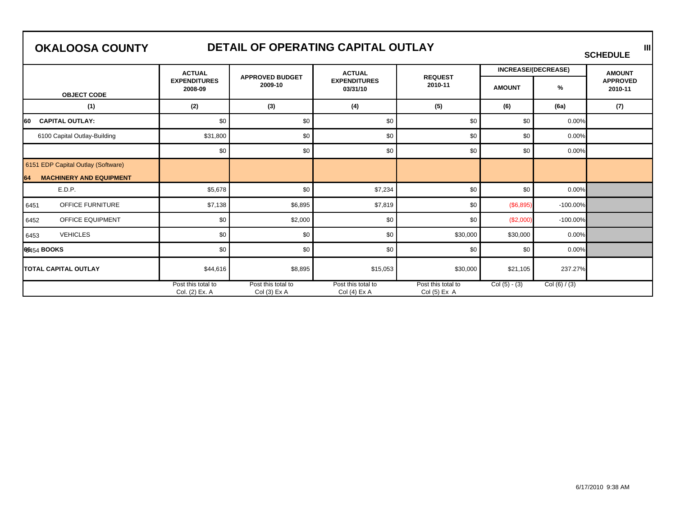## **OKALOOSA COUNTY**

# DETAIL OF OPERATING CAPITAL OUTLAY **SCHEDULE**

|                                                                            | <b>ACTUAL</b>                        |                                     | <b>ACTUAL</b>                     |                                      |                 | <b>INCREASE/(DECREASE)</b> | <b>AMOUNT</b>              |
|----------------------------------------------------------------------------|--------------------------------------|-------------------------------------|-----------------------------------|--------------------------------------|-----------------|----------------------------|----------------------------|
| <b>OBJECT CODE</b>                                                         | <b>EXPENDITURES</b><br>2008-09       | <b>APPROVED BUDGET</b><br>2009-10   | <b>EXPENDITURES</b><br>03/31/10   | <b>REQUEST</b><br>2010-11            | <b>AMOUNT</b>   | %                          | <b>APPROVED</b><br>2010-11 |
| (1)                                                                        | (2)                                  | (3)                                 | (4)                               | (5)                                  | (6)             | (6a)                       | (7)                        |
| <b>CAPITAL OUTLAY:</b><br>160                                              | \$0                                  | \$0                                 | \$0                               | \$0                                  | \$0             | 0.00%                      |                            |
| 6100 Capital Outlay-Building                                               | \$31,800                             | \$0                                 | \$0                               | \$0                                  | \$0             | 0.00%                      |                            |
|                                                                            | \$0                                  | \$0                                 | \$0                               | \$0                                  | \$0             | 0.00%                      |                            |
| 6151 EDP Capital Outlay (Software)<br><b>MACHINERY AND EQUIPMENT</b><br>64 |                                      |                                     |                                   |                                      |                 |                            |                            |
| E.D.P.                                                                     | \$5,678                              | \$0                                 | \$7,234                           | \$0                                  | \$0             | 0.00%                      |                            |
| <b>OFFICE FURNITURE</b><br>6451                                            | \$7,138                              | \$6,895                             | \$7,819                           | \$0                                  | (\$6,895)       | $-100.00\%$                |                            |
| <b>OFFICE EQUIPMENT</b><br>6452                                            | \$0                                  | \$2,000                             | \$0                               | \$0                                  | (\$2,000)       | $-100.00\%$                |                            |
| <b>VEHICLES</b><br>6453                                                    | \$0                                  | \$0                                 | \$0                               | \$30,000                             | \$30,000        | 0.00%                      |                            |
| 66454 BOOKS                                                                | \$0                                  | \$0                                 | \$0                               | \$0                                  | \$0             | 0.00%                      |                            |
| <b>TOTAL CAPITAL OUTLAY</b>                                                | \$44,616                             | \$8,895                             | \$15,053                          | \$30,000                             | \$21,105        | 237.27%                    |                            |
|                                                                            | Post this total to<br>Col. (2) Ex. A | Post this total to<br>$Col(3)$ Ex A | Post this total to<br>Col(4) Ex A | Post this total to<br>Col $(5)$ Ex A | $Col (5) - (3)$ | Col $(6) / (3)$            |                            |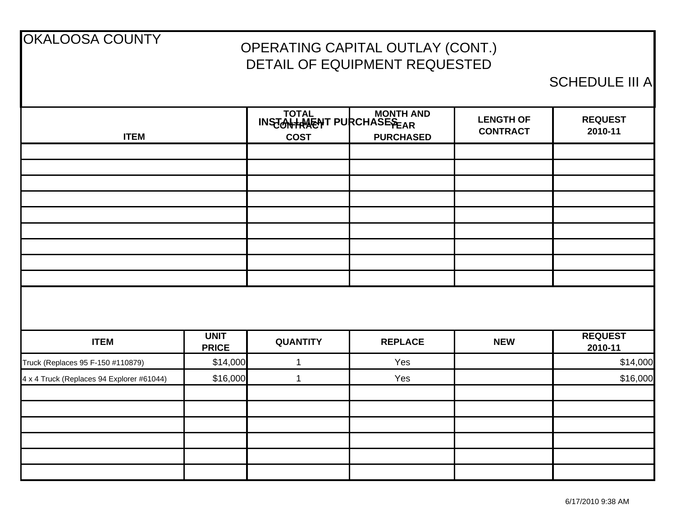| <b>OKALOOSA COUNTY</b>                    |                             |                 | OPERATING CAPITAL OUTLAY (CONT.)<br>DETAIL OF EQUIPMENT REQUESTED |                                     |                           |
|-------------------------------------------|-----------------------------|-----------------|-------------------------------------------------------------------|-------------------------------------|---------------------------|
|                                           |                             |                 |                                                                   |                                     | <b>SCHEDULE III A</b>     |
| <b>ITEM</b>                               |                             | <b>COST</b>     | TOTAL MONTH AND<br><b>PURCHASED</b>                               | <b>LENGTH OF</b><br><b>CONTRACT</b> | <b>REQUEST</b><br>2010-11 |
|                                           |                             |                 |                                                                   |                                     |                           |
|                                           |                             |                 |                                                                   |                                     |                           |
|                                           |                             |                 |                                                                   |                                     |                           |
|                                           |                             |                 |                                                                   |                                     |                           |
|                                           |                             |                 |                                                                   |                                     |                           |
|                                           |                             |                 |                                                                   |                                     |                           |
|                                           |                             |                 |                                                                   |                                     |                           |
|                                           |                             |                 |                                                                   |                                     |                           |
|                                           |                             |                 |                                                                   |                                     |                           |
| <b>ITEM</b>                               | <b>UNIT</b><br><b>PRICE</b> | <b>QUANTITY</b> | <b>REPLACE</b>                                                    | <b>NEW</b>                          | <b>REQUEST</b><br>2010-11 |
| Truck (Replaces 95 F-150 #110879)         | \$14,000                    | 1               | Yes                                                               |                                     | \$14,000                  |
| 4 x 4 Truck (Replaces 94 Explorer #61044) | \$16,000                    | 1               | Yes                                                               |                                     | \$16,000                  |
|                                           |                             |                 |                                                                   |                                     |                           |
|                                           |                             |                 |                                                                   |                                     |                           |
|                                           |                             |                 |                                                                   |                                     |                           |
|                                           |                             |                 |                                                                   |                                     |                           |
|                                           |                             |                 |                                                                   |                                     |                           |
|                                           |                             |                 |                                                                   |                                     |                           |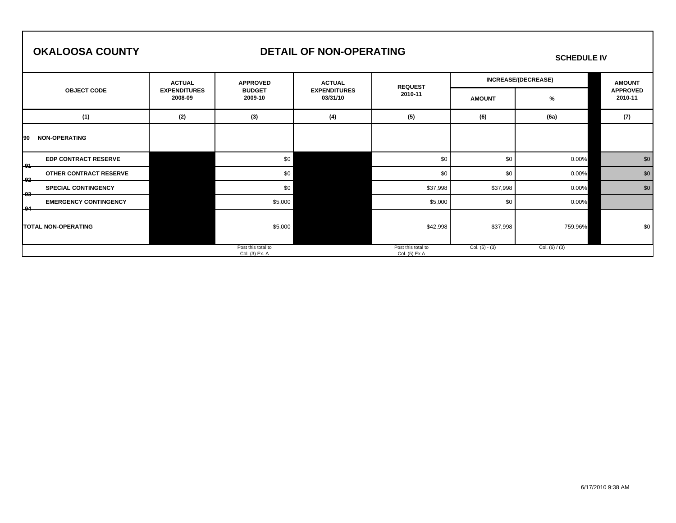#### **OKALOOSA COUNTY**

#### **DETAIL OF NON-OPERATING**

#### **SCHEDULE IV**

|                                     | <b>ACTUAL</b>                  | <b>APPROVED</b>                      | <b>ACTUAL</b>                   | <b>REQUEST</b>                      |                  | <b>INCREASE/(DECREASE)</b> | <b>AMOUNT</b><br><b>APPROVED</b> |  |
|-------------------------------------|--------------------------------|--------------------------------------|---------------------------------|-------------------------------------|------------------|----------------------------|----------------------------------|--|
| <b>OBJECT CODE</b>                  | <b>EXPENDITURES</b><br>2008-09 | <b>BUDGET</b><br>2009-10             | <b>EXPENDITURES</b><br>03/31/10 | 2010-11                             | <b>AMOUNT</b>    | %                          | 2010-11                          |  |
| (1)                                 | (2)                            | (3)                                  | (4)                             | (5)                                 | (6)              | (6a)                       | (7)                              |  |
| <b>NON-OPERATING</b><br><b>90</b>   |                                |                                      |                                 |                                     |                  |                            |                                  |  |
| <b>EDP CONTRACT RESERVE</b><br>-01  |                                | \$0                                  |                                 | \$0                                 | \$0              | 0.00%                      | \$0                              |  |
| OTHER CONTRACT RESERVE<br>$-92$     |                                | \$0                                  |                                 | \$0                                 | \$0              | 0.00%                      | \$0                              |  |
| <b>SPECIAL CONTINGENCY</b><br>כם ו  |                                | \$0                                  |                                 | \$37,998                            | \$37,998         | 0.00%                      | \$0                              |  |
| <b>EMERGENCY CONTINGENCY</b><br>مما |                                | \$5,000                              |                                 | \$5,000                             | \$0              | 0.00%                      |                                  |  |
| ۰.<br><b>TOTAL NON-OPERATING</b>    |                                | \$5,000                              |                                 | \$42,998                            | \$37,998         | 759.96%                    | \$0                              |  |
|                                     |                                | Post this total to<br>Col. (3) Ex. A |                                 | Post this total to<br>Col. (5) Ex A | Col. $(5) - (3)$ | Col. $(6) / (3)$           |                                  |  |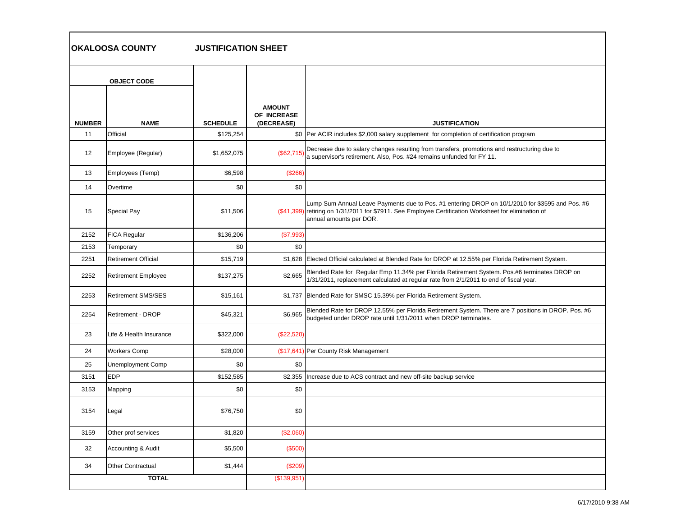| OKALOOSA COUNTY | <b>JUSTIFICATION SHEET</b> |
|-----------------|----------------------------|
|                 |                            |

|               | <b>OBJECT CODE</b>         |                 |                                            |                                                                                                                                                                                                                                    |
|---------------|----------------------------|-----------------|--------------------------------------------|------------------------------------------------------------------------------------------------------------------------------------------------------------------------------------------------------------------------------------|
| <b>NUMBER</b> | <b>NAME</b>                | <b>SCHEDULE</b> | <b>AMOUNT</b><br>OF INCREASE<br>(DECREASE) | <b>JUSTIFICATION</b>                                                                                                                                                                                                               |
| 11            | Official                   | \$125,254       |                                            | \$0   Per ACIR includes \$2,000 salary supplement for completion of certification program                                                                                                                                          |
| 12            | Employee (Regular)         | \$1,652,075     | (\$62,715)                                 | Decrease due to salary changes resulting from transfers, promotions and restructuring due to<br>a supervisor's retirement. Also, Pos. #24 remains unfunded for FY 11.                                                              |
| 13            | Employees (Temp)           | \$6,598         | (\$266)                                    |                                                                                                                                                                                                                                    |
| 14            | Overtime                   | \$0             | \$0                                        |                                                                                                                                                                                                                                    |
| 15            | Special Pay                | \$11,506        |                                            | Lump Sum Annual Leave Payments due to Pos. #1 entering DROP on 10/1/2010 for \$3595 and Pos. #6<br>(\$41,399) retiring on 1/31/2011 for \$7911. See Employee Certification Worksheet for elimination of<br>annual amounts per DOR. |
| 2152          | <b>FICA Regular</b>        | \$136,206       | (\$7,993)                                  |                                                                                                                                                                                                                                    |
| 2153          | Temporary                  | \$0             | \$0                                        |                                                                                                                                                                                                                                    |
| 2251          | <b>Retirement Official</b> | \$15,719        |                                            | \$1,628 Elected Official calculated at Blended Rate for DROP at 12.55% per Florida Retirement System.                                                                                                                              |
| 2252          | <b>Retirement Employee</b> | \$137,275       | \$2,665                                    | Blended Rate for Regular Emp 11.34% per Florida Retirement System. Pos.#6 terminates DROP on<br>1/31/2011, replacement calculated at regular rate from 2/1/2011 to end of fiscal year.                                             |
| 2253          | <b>Retirement SMS/SES</b>  | \$15,161        |                                            | \$1,737 Blended Rate for SMSC 15.39% per Florida Retirement System.                                                                                                                                                                |
| 2254          | Retirement - DROP          | \$45,321        | \$6.965                                    | Blended Rate for DROP 12.55% per Florida Retirement System. There are 7 positions in DROP. Pos. #6<br>budgeted under DROP rate until 1/31/2011 when DROP terminates.                                                               |
| 23            | Life & Health Insurance    | \$322,000       | (\$22,520)                                 |                                                                                                                                                                                                                                    |
| 24            | <b>Workers Comp</b>        | \$28,000        |                                            | (\$17,641) Per County Risk Management                                                                                                                                                                                              |
| 25            | Unemployment Comp          | \$0             | \$0                                        |                                                                                                                                                                                                                                    |
| 3151          | <b>EDP</b>                 | \$152,585       |                                            | \$2,355 Increase due to ACS contract and new off-site backup service                                                                                                                                                               |
| 3153          | Mapping                    | \$0             | \$0                                        |                                                                                                                                                                                                                                    |
| 3154          | Legal                      | \$76,750        | \$0                                        |                                                                                                                                                                                                                                    |
| 3159          | Other prof services        | \$1,820         | (\$2,060)                                  |                                                                                                                                                                                                                                    |
| 32            | Accounting & Audit         | \$5,500         | (\$500)                                    |                                                                                                                                                                                                                                    |
| 34            | <b>Other Contractual</b>   | \$1,444         | (\$209)                                    |                                                                                                                                                                                                                                    |
|               | <b>TOTAL</b>               |                 | (\$139,951)                                |                                                                                                                                                                                                                                    |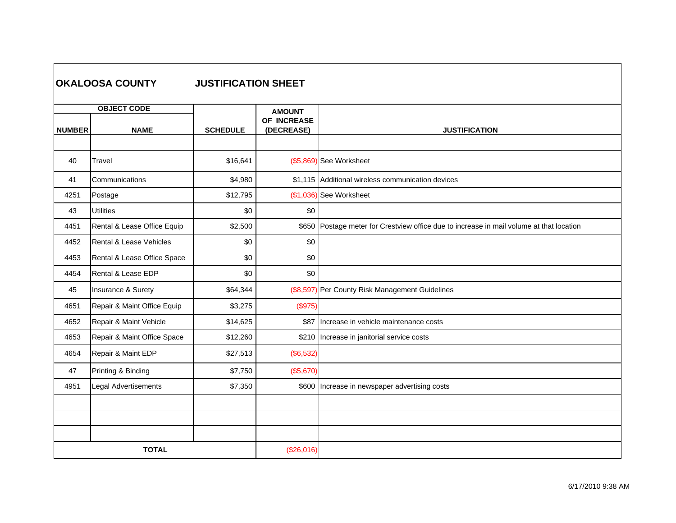|               | <b>OKALOOSA COUNTY</b>            | <b>JUSTIFICATION SHEET</b> |                                            |                                                                                          |
|---------------|-----------------------------------|----------------------------|--------------------------------------------|------------------------------------------------------------------------------------------|
| <b>NUMBER</b> | <b>OBJECT CODE</b><br><b>NAME</b> | <b>SCHEDULE</b>            | <b>AMOUNT</b><br>OF INCREASE<br>(DECREASE) | <b>JUSTIFICATION</b>                                                                     |
|               |                                   |                            |                                            |                                                                                          |
| 40            | Travel                            | \$16,641                   |                                            | (\$5,869) See Worksheet                                                                  |
| 41            | Communications                    | \$4,980                    |                                            | \$1,115 Additional wireless communication devices                                        |
| 4251          | Postage                           | \$12,795                   |                                            | (\$1,036) See Worksheet                                                                  |
| 43            | <b>Utilities</b>                  | \$0                        | \$0                                        |                                                                                          |
| 4451          | Rental & Lease Office Equip       | \$2,500                    |                                            | \$650 Postage meter for Crestview office due to increase in mail volume at that location |
| 4452          | Rental & Lease Vehicles           | \$0                        | \$0                                        |                                                                                          |
| 4453          | Rental & Lease Office Space       | \$0                        | \$0                                        |                                                                                          |
| 4454          | Rental & Lease EDP                | \$0                        | \$0                                        |                                                                                          |
| 45            | Insurance & Surety                | \$64,344                   |                                            | (\$8,597) Per County Risk Management Guidelines                                          |
| 4651          | Repair & Maint Office Equip       | \$3,275                    | (\$975)                                    |                                                                                          |
| 4652          | Repair & Maint Vehicle            | \$14,625                   |                                            | \$87 Increase in vehicle maintenance costs                                               |
| 4653          | Repair & Maint Office Space       | \$12,260                   |                                            | \$210 Increase in janitorial service costs                                               |
| 4654          | Repair & Maint EDP                | \$27,513                   | (\$6,532)                                  |                                                                                          |
| 47            | Printing & Binding                | \$7,750                    | (\$5,670)                                  |                                                                                          |
| 4951          | Legal Advertisements              | \$7,350                    |                                            | \$600 Increase in newspaper advertising costs                                            |
|               |                                   |                            |                                            |                                                                                          |
|               |                                   |                            |                                            |                                                                                          |
|               |                                   |                            |                                            |                                                                                          |
|               | <b>TOTAL</b>                      |                            | (\$26,016)                                 |                                                                                          |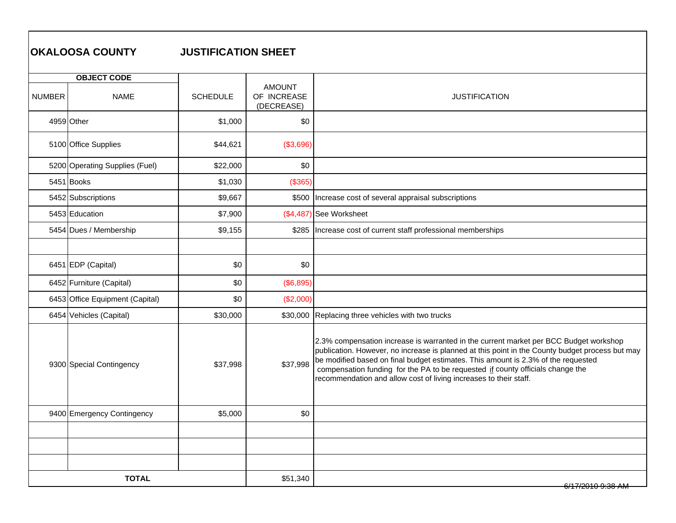|               | <b>OKALOOSA COUNTY</b>          | <b>JUSTIFICATION SHEET</b> |                                            |                                                                                                                                                                                                                                                                                                                                                                                                                                      |
|---------------|---------------------------------|----------------------------|--------------------------------------------|--------------------------------------------------------------------------------------------------------------------------------------------------------------------------------------------------------------------------------------------------------------------------------------------------------------------------------------------------------------------------------------------------------------------------------------|
|               | <b>OBJECT CODE</b>              |                            |                                            |                                                                                                                                                                                                                                                                                                                                                                                                                                      |
| <b>NUMBER</b> | <b>NAME</b>                     | <b>SCHEDULE</b>            | <b>AMOUNT</b><br>OF INCREASE<br>(DECREASE) | <b>JUSTIFICATION</b>                                                                                                                                                                                                                                                                                                                                                                                                                 |
|               | 4959 Other                      | \$1,000                    | \$0                                        |                                                                                                                                                                                                                                                                                                                                                                                                                                      |
|               | 5100 Office Supplies            | \$44,621                   | (\$3,696)                                  |                                                                                                                                                                                                                                                                                                                                                                                                                                      |
|               | 5200 Operating Supplies (Fuel)  | \$22,000                   | \$0                                        |                                                                                                                                                                                                                                                                                                                                                                                                                                      |
|               | 5451 Books                      | \$1,030                    | (\$365)                                    |                                                                                                                                                                                                                                                                                                                                                                                                                                      |
|               | 5452 Subscriptions              | \$9,667                    |                                            | \$500 Increase cost of several appraisal subscriptions                                                                                                                                                                                                                                                                                                                                                                               |
|               | 5453 Education                  | \$7,900                    | (\$4,487                                   | See Worksheet                                                                                                                                                                                                                                                                                                                                                                                                                        |
|               | 5454 Dues / Membership          | \$9,155                    |                                            | \$285  Increase cost of current staff professional memberships                                                                                                                                                                                                                                                                                                                                                                       |
|               |                                 |                            |                                            |                                                                                                                                                                                                                                                                                                                                                                                                                                      |
|               | 6451 EDP (Capital)              | \$0                        | \$0                                        |                                                                                                                                                                                                                                                                                                                                                                                                                                      |
|               | 6452 Furniture (Capital)        | \$0                        | (\$6,895)                                  |                                                                                                                                                                                                                                                                                                                                                                                                                                      |
|               | 6453 Office Equipment (Capital) | \$0                        | (\$2,000)                                  |                                                                                                                                                                                                                                                                                                                                                                                                                                      |
|               | 6454 Vehicles (Capital)         | \$30,000                   | \$30,000                                   | Replacing three vehicles with two trucks                                                                                                                                                                                                                                                                                                                                                                                             |
|               | 9300 Special Contingency        | \$37,998                   | \$37,998                                   | 2.3% compensation increase is warranted in the current market per BCC Budget workshop<br>publication. However, no increase is planned at this point in the County budget process but may<br>be modified based on final budget estimates. This amount is 2.3% of the requested<br>compensation funding for the PA to be requested if county officials change the<br>recommendation and allow cost of living increases to their staff. |
|               | 9400 Emergency Contingency      | \$5,000                    | \$0                                        |                                                                                                                                                                                                                                                                                                                                                                                                                                      |
|               |                                 |                            |                                            |                                                                                                                                                                                                                                                                                                                                                                                                                                      |
|               |                                 |                            |                                            |                                                                                                                                                                                                                                                                                                                                                                                                                                      |
|               |                                 |                            |                                            |                                                                                                                                                                                                                                                                                                                                                                                                                                      |
|               | <b>TOTAL</b>                    |                            | \$51,340                                   |                                                                                                                                                                                                                                                                                                                                                                                                                                      |

#### 6/17/2010 9:38 AM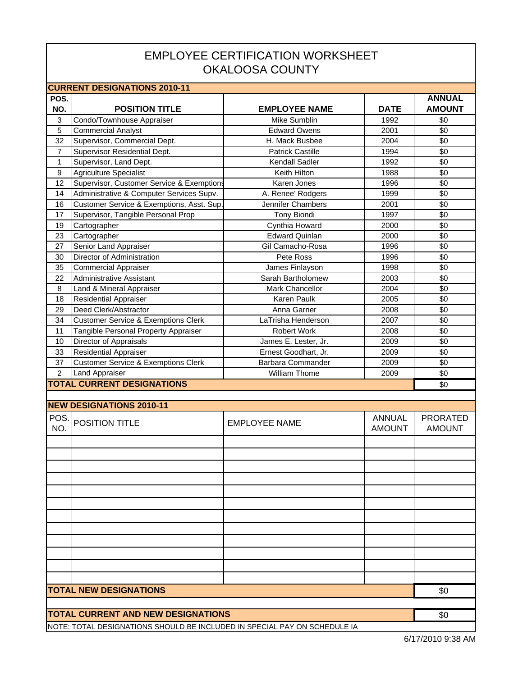### EMPLOYEE CERTIFICATION WORKSHEET OKALOOSA COUNTY

|                | <b>CURRENT DESIGNATIONS 2010-11</b>                                       |                         |               |                 |  |  |  |
|----------------|---------------------------------------------------------------------------|-------------------------|---------------|-----------------|--|--|--|
| POS.           |                                                                           |                         |               | <b>ANNUAL</b>   |  |  |  |
| NO.            | <b>POSITION TITLE</b>                                                     | <b>EMPLOYEE NAME</b>    | <b>DATE</b>   | <b>AMOUNT</b>   |  |  |  |
| 3              | Condo/Townhouse Appraiser                                                 | Mike Sumblin            | 1992          | \$0             |  |  |  |
| $\overline{5}$ | <b>Commercial Analyst</b>                                                 | <b>Edward Owens</b>     | 2001          | \$0             |  |  |  |
| 32             | Supervisor, Commercial Dept.                                              | H. Mack Busbee          | 2004          | \$0             |  |  |  |
| $\overline{7}$ | Supervisor Residential Dept.                                              | <b>Patrick Castille</b> | 1994          | \$0             |  |  |  |
| 1              | Supervisor, Land Dept.                                                    | Kendall Sadler          | 1992          | \$0             |  |  |  |
| 9              | <b>Agriculture Specialist</b>                                             | Keith Hilton            | 1988          | \$0             |  |  |  |
| 12             | Supervisor, Customer Service & Exemptions                                 | Karen Jones             | 1996          | \$0             |  |  |  |
| 14             | Administrative & Computer Services Supv.                                  | A. Renee' Rodgers       | 1999          | \$0             |  |  |  |
| 16             | Customer Service & Exemptions, Asst. Sup.                                 | Jennifer Chambers       | 2001          | \$0             |  |  |  |
| 17             | Supervisor, Tangible Personal Prop                                        | <b>Tony Biondi</b>      | 1997          | \$0             |  |  |  |
| 19             | Cartographer                                                              | Cynthia Howard          | 2000          | \$0             |  |  |  |
| 23             | Cartographer                                                              | <b>Edward Quinlan</b>   | 2000          | \$0             |  |  |  |
| 27             | Senior Land Appraiser                                                     | Gil Camacho-Rosa        | 1996          | \$0             |  |  |  |
| 30             | Director of Administration                                                | Pete Ross               | 1996          | \$0             |  |  |  |
| 35             | <b>Commercial Appraiser</b>                                               | James Finlayson         | 1998          | \$0             |  |  |  |
| 22             | <b>Administrative Assistant</b>                                           | Sarah Bartholomew       | 2003          | \$0             |  |  |  |
| 8              | Land & Mineral Appraiser                                                  | Mark Chancellor         | 2004          | \$0             |  |  |  |
| 18             | <b>Residential Appraiser</b>                                              | Karen Paulk             | 2005          | \$0             |  |  |  |
| 29             | Deed Clerk/Abstractor                                                     | Anna Garner             | 2008          | $\sqrt{6}$      |  |  |  |
| 34             | <b>Customer Service &amp; Exemptions Clerk</b>                            | LaTrisha Henderson      | 2007          | \$0             |  |  |  |
| 11             | Tangible Personal Property Appraiser                                      | <b>Robert Work</b>      | 2008          | \$0             |  |  |  |
| 10             | Director of Appraisals                                                    | James E. Lester, Jr.    | 2009          | \$0             |  |  |  |
| 33             | <b>Residential Appraiser</b>                                              | Ernest Goodhart, Jr.    | 2009          | \$0             |  |  |  |
| 37             | <b>Customer Service &amp; Exemptions Clerk</b>                            | Barbara Commander       | 2009          | \$0             |  |  |  |
| $\overline{2}$ | Land Appraiser                                                            | William Thome           | 2009          | \$0             |  |  |  |
|                | <b>TOTAL CURRENT DESIGNATIONS</b>                                         |                         |               | \$0             |  |  |  |
|                |                                                                           |                         |               |                 |  |  |  |
|                | <b>NEW DESIGNATIONS 2010-11</b>                                           |                         |               |                 |  |  |  |
| POS.           | POSITION TITLE                                                            | <b>EMPLOYEE NAME</b>    | <b>ANNUAL</b> | <b>PRORATED</b> |  |  |  |
| NO.            |                                                                           |                         | <b>AMOUNT</b> | <b>AMOUNT</b>   |  |  |  |
|                |                                                                           |                         |               |                 |  |  |  |
|                |                                                                           |                         |               |                 |  |  |  |
|                |                                                                           |                         |               |                 |  |  |  |
|                |                                                                           |                         |               |                 |  |  |  |
|                |                                                                           |                         |               |                 |  |  |  |
|                |                                                                           |                         |               |                 |  |  |  |
|                |                                                                           |                         |               |                 |  |  |  |
|                |                                                                           |                         |               |                 |  |  |  |
|                |                                                                           |                         |               |                 |  |  |  |
|                |                                                                           |                         |               |                 |  |  |  |
|                |                                                                           |                         |               |                 |  |  |  |
|                |                                                                           |                         |               |                 |  |  |  |
|                | <b>TOTAL NEW DESIGNATIONS</b>                                             |                         |               | \$0             |  |  |  |
|                |                                                                           |                         |               |                 |  |  |  |
|                | <b>TOTAL CURRENT AND NEW DESIGNATIONS</b>                                 |                         |               | \$0             |  |  |  |
|                | NOTE: TOTAL DESIGNATIONS SHOULD BE INCLUDED IN SPECIAL PAY ON SCHEDULE IA |                         |               |                 |  |  |  |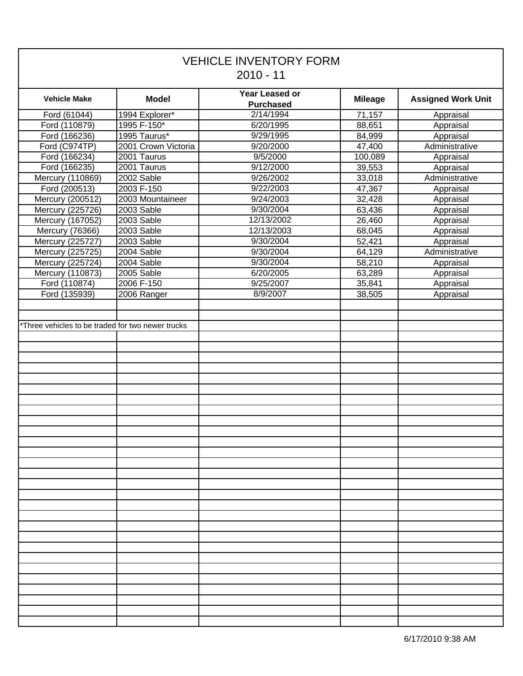| <b>VEHICLE INVENTORY FORM</b><br>$2010 - 11$      |                     |                                           |                |                           |  |  |
|---------------------------------------------------|---------------------|-------------------------------------------|----------------|---------------------------|--|--|
| <b>Vehicle Make</b>                               | <b>Model</b>        | <b>Year Leased or</b><br><b>Purchased</b> | <b>Mileage</b> | <b>Assigned Work Unit</b> |  |  |
| Ford (61044)                                      | 1994 Explorer*      | 2/14/1994                                 | 71,157         | Appraisal                 |  |  |
| Ford (110879)                                     | 1995 F-150*         | 6/20/1995                                 | 88,651         | Appraisal                 |  |  |
| Ford (166236)                                     | 1995 Taurus*        | 9/29/1995                                 | 84,999         | Appraisal                 |  |  |
| Ford (C974TP)                                     | 2001 Crown Victoria | 9/20/2000                                 | 47,400         | Administrative            |  |  |
| Ford (166234)                                     | 2001 Taurus         | 9/5/2000                                  | 100,089        | Appraisal                 |  |  |
| Ford (166235)                                     | 2001 Taurus         | 9/12/2000                                 | 39,553         | Appraisal                 |  |  |
| Mercury (110869)                                  | 2002 Sable          | 9/26/2002                                 | 33,018         | Administrative            |  |  |
| Ford (200513)                                     | 2003 F-150          | 9/22/2003                                 | 47,367         | Appraisal                 |  |  |
| Mercury (200512)                                  | 2003 Mountaineer    | 9/24/2003                                 | 32,428         | Appraisal                 |  |  |
| Mercury (225726)                                  | 2003 Sable          | 9/30/2004                                 | 63,436         | Appraisal                 |  |  |
| Mercury (167052)                                  | 2003 Sable          | 12/13/2002                                | 26,460         | Appraisal                 |  |  |
| Mercury (76366)                                   | 2003 Sable          | 12/13/2003                                | 68,045         | Appraisal                 |  |  |
| Mercury (225727)                                  | 2003 Sable          | 9/30/2004                                 | 52,421         | Appraisal                 |  |  |
| Mercury (225725)                                  | 2004 Sable          | 9/30/2004                                 | 64,129         | Administrative            |  |  |
| Mercury (225724)                                  | 2004 Sable          | 9/30/2004                                 | 58,210         | Appraisal                 |  |  |
| Mercury (110873)                                  | 2005 Sable          | 6/20/2005                                 | 63,289         | Appraisal                 |  |  |
| Ford (110874)                                     | 2006 F-150          | 9/25/2007                                 | 35,841         | Appraisal                 |  |  |
| Ford (135939)                                     | 2006 Ranger         | 8/9/2007                                  | 38,505         | Appraisal                 |  |  |
| *Three vehicles to be traded for two newer trucks |                     |                                           |                |                           |  |  |
|                                                   |                     |                                           |                |                           |  |  |
|                                                   |                     |                                           |                |                           |  |  |
|                                                   |                     |                                           |                |                           |  |  |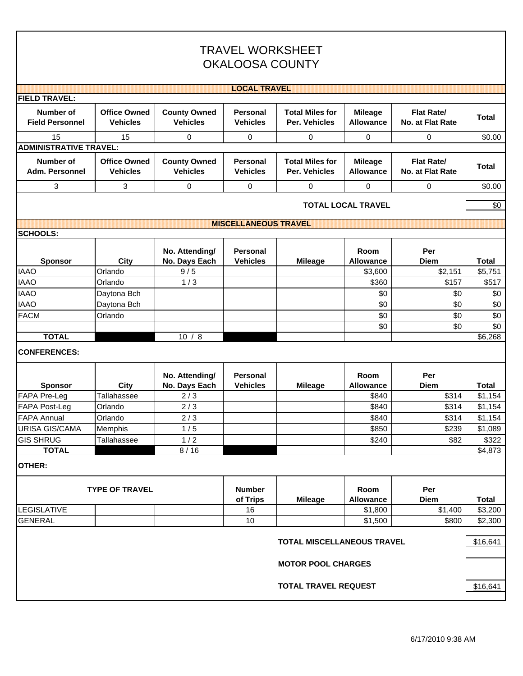|                                            | <b>TRAVEL WORKSHEET</b><br><b>OKALOOSA COUNTY</b> |                                        |                                    |                                         |                                    |                                       |              |  |
|--------------------------------------------|---------------------------------------------------|----------------------------------------|------------------------------------|-----------------------------------------|------------------------------------|---------------------------------------|--------------|--|
|                                            |                                                   |                                        | <b>LOCAL TRAVEL</b>                |                                         |                                    |                                       |              |  |
| <b>FIELD TRAVEL:</b>                       |                                                   |                                        |                                    |                                         |                                    |                                       |              |  |
| <b>Number of</b><br><b>Field Personnel</b> | <b>Office Owned</b><br><b>Vehicles</b>            | <b>County Owned</b><br><b>Vehicles</b> | <b>Personal</b><br><b>Vehicles</b> | <b>Total Miles for</b><br>Per. Vehicles | <b>Mileage</b><br><b>Allowance</b> | <b>Flat Rate/</b><br>No. at Flat Rate | <b>Total</b> |  |
| 15<br><b>ADMINISTRATIVE TRAVEL:</b>        | 15                                                | 0                                      | 0                                  | 0                                       | 0                                  | 0                                     | \$0.00       |  |
| Number of<br>Adm. Personnel                | <b>Office Owned</b><br><b>Vehicles</b>            | <b>County Owned</b><br><b>Vehicles</b> | <b>Personal</b><br><b>Vehicles</b> | <b>Total Miles for</b><br>Per. Vehicles | <b>Mileage</b><br><b>Allowance</b> | <b>Flat Rate/</b><br>No. at Flat Rate | <b>Total</b> |  |
| 3                                          | 3                                                 | 0                                      | 0                                  | 0                                       | $\Omega$                           | 0                                     | \$0.00       |  |
|                                            |                                                   |                                        |                                    |                                         | <b>TOTAL LOCAL TRAVEL</b>          |                                       | \$0          |  |
|                                            |                                                   |                                        | <b>MISCELLANEOUS TRAVEL</b>        |                                         |                                    |                                       |              |  |
| <b>SCHOOLS:</b>                            |                                                   |                                        |                                    |                                         |                                    |                                       |              |  |
| <b>Sponsor</b>                             | City                                              | No. Attending/<br>No. Days Each        | Personal<br><b>Vehicles</b>        | <b>Mileage</b>                          | Room<br><b>Allowance</b>           | Per<br><b>Diem</b>                    | <b>Total</b> |  |
| <b>IAAO</b>                                | Orlando                                           | 9/5                                    |                                    |                                         | \$3,600                            | \$2,151                               | \$5,751      |  |
| <b>IAAO</b>                                | Orlando                                           | 1/3                                    |                                    |                                         | \$360                              | \$157                                 | \$517        |  |
| <b>IAAO</b>                                | Daytona Bch                                       |                                        |                                    |                                         | \$0                                | \$0                                   | \$0          |  |
| <b>IAAO</b>                                | Daytona Bch                                       |                                        |                                    |                                         | \$0                                | \$0                                   | \$0          |  |
| <b>FACM</b>                                | Orlando                                           |                                        |                                    |                                         | \$0                                | \$0                                   | \$0          |  |
|                                            |                                                   |                                        |                                    |                                         | \$0                                | \$0                                   | \$0          |  |
| <b>TOTAL</b>                               |                                                   | 10/8                                   |                                    |                                         |                                    |                                       | \$6,268      |  |
| <b>CONFERENCES:</b>                        |                                                   |                                        |                                    |                                         |                                    |                                       |              |  |
| <b>Sponsor</b>                             | <b>City</b>                                       | No. Attending/<br>No. Days Each        | <b>Personal</b><br><b>Vehicles</b> | <b>Mileage</b>                          | Room<br><b>Allowance</b>           | Per<br><b>Diem</b>                    | <b>Total</b> |  |
| <b>FAPA Pre-Leg</b>                        | Tallahassee                                       | 2/3                                    |                                    |                                         | \$840                              | \$314                                 | \$1,154      |  |
| <b>FAPA Post-Leg</b>                       | Orlando                                           | 2/3                                    |                                    |                                         | \$840                              | \$314                                 | \$1,154      |  |
| <b>FAPA Annual</b>                         | Orlando                                           | 2/3                                    |                                    |                                         | \$840                              | \$314                                 | \$1,154      |  |
| <b>URISA GIS/CAMA</b>                      | Memphis                                           | 1/5                                    |                                    |                                         | \$850                              | \$239                                 | \$1,089      |  |
| <b>GIS SHRUG</b><br><b>TOTAL</b>           | Tallahassee                                       | 1/2<br>8/16                            |                                    |                                         | \$240                              | \$82                                  | \$322        |  |
| <b>OTHER:</b>                              |                                                   |                                        |                                    |                                         |                                    |                                       | \$4,873      |  |
|                                            | <b>TYPE OF TRAVEL</b>                             |                                        | <b>Number</b><br>of Trips          | <b>Mileage</b>                          | Room<br><b>Allowance</b>           | Per<br><b>Diem</b>                    | <b>Total</b> |  |
| <b>LEGISLATIVE</b>                         |                                                   |                                        | 16                                 |                                         | \$1,800                            | \$1,400                               | \$3,200      |  |
| <b>GENERAL</b>                             |                                                   |                                        | 10                                 |                                         | \$1,500                            | \$800                                 | \$2,300      |  |
|                                            |                                                   |                                        |                                    | <b>TOTAL MISCELLANEOUS TRAVEL</b>       |                                    |                                       | \$16,641     |  |
|                                            |                                                   |                                        |                                    | <b>MOTOR POOL CHARGES</b>               |                                    |                                       |              |  |
|                                            |                                                   |                                        |                                    | <b>TOTAL TRAVEL REQUEST</b>             |                                    |                                       | \$16,641     |  |

Г

٦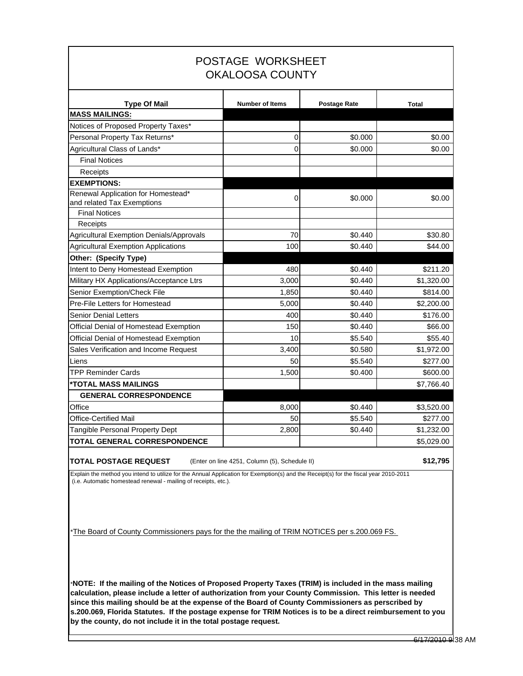| POSTAGE WORKSHEET<br><b>OKALOOSA COUNTY</b>                      |                        |                     |              |  |  |  |  |
|------------------------------------------------------------------|------------------------|---------------------|--------------|--|--|--|--|
| <b>Type Of Mail</b>                                              | <b>Number of Items</b> | <b>Postage Rate</b> | <b>Total</b> |  |  |  |  |
| <b>MASS MAILINGS:</b>                                            |                        |                     |              |  |  |  |  |
| Notices of Proposed Property Taxes*                              |                        |                     |              |  |  |  |  |
| Personal Property Tax Returns*                                   | 0                      | \$0.000             | \$0.00       |  |  |  |  |
| Agricultural Class of Lands*                                     | $\Omega$               | \$0.000             | \$0.00       |  |  |  |  |
| <b>Final Notices</b>                                             |                        |                     |              |  |  |  |  |
| Receipts                                                         |                        |                     |              |  |  |  |  |
| <b>EXEMPTIONS:</b>                                               |                        |                     |              |  |  |  |  |
| Renewal Application for Homestead*<br>and related Tax Exemptions | 0                      | \$0.000             | \$0.00       |  |  |  |  |
| <b>Final Notices</b><br>Receipts                                 |                        |                     |              |  |  |  |  |
| <b>Agricultural Exemption Denials/Approvals</b>                  | 70                     | \$0.440             | \$30.80      |  |  |  |  |
| <b>Agricultural Exemption Applications</b>                       | 100                    | \$0.440             | \$44.00      |  |  |  |  |
| Other: (Specify Type)                                            |                        |                     |              |  |  |  |  |
| Intent to Deny Homestead Exemption                               | 480                    | \$0.440             | \$211.20     |  |  |  |  |
| Military HX Applications/Acceptance Ltrs                         | 3,000                  | \$0.440             | \$1,320.00   |  |  |  |  |
| Senior Exemption/Check File                                      | 1,850                  | \$0.440             | \$814.00     |  |  |  |  |
| Pre-File Letters for Homestead                                   | 5,000                  | \$0.440             | \$2,200.00   |  |  |  |  |
| Senior Denial Letters                                            | 400                    | \$0.440             | \$176.00     |  |  |  |  |
| Official Denial of Homestead Exemption                           | 150                    | \$0.440             | \$66.00      |  |  |  |  |
| Official Denial of Homestead Exemption                           | 10                     | \$5.540             | \$55.40      |  |  |  |  |
| Sales Verification and Income Request                            | 3,400                  | \$0.580             | \$1,972.00   |  |  |  |  |
| Liens                                                            | 50                     | \$5.540             | \$277.00     |  |  |  |  |
| <b>TPP Reminder Cards</b>                                        | 1,500                  | \$0.400             | \$600.00     |  |  |  |  |
| *TOTAL MASS MAILINGS                                             |                        |                     | \$7,766.40   |  |  |  |  |
| <b>GENERAL CORRESPONDENCE</b>                                    |                        |                     |              |  |  |  |  |
| Office                                                           | 8,000                  | \$0.440             | \$3,520.00   |  |  |  |  |
| <b>Office-Certified Mail</b>                                     | 50                     | \$5.540             | \$277.00     |  |  |  |  |
| Tangible Personal Property Dept                                  | 2,800                  | \$0.440             | \$1,232.00   |  |  |  |  |
| <b>TOTAL GENERAL CORRESPONDENCE</b>                              |                        |                     | \$5,029.00   |  |  |  |  |

**TOTAL POSTAGE REQUEST** (Enter on line 4251, Column (5), Schedule II) **\$12,795** 

Explain the method you intend to utilize for the Annual Application for Exemption(s) and the Receipt(s) for the fiscal year 2010-2011 (i.e. Automatic homestead renewal - mailing of receipts, etc.).

\*The Board of County Commissioners pays for the the mailing of TRIM NOTICES per s.200.069 FS.

\***NOTE: If the mailing of the Notices of Proposed Property Taxes (TRIM) is included in the mass mailing calculation, please include a letter of authorization from your County Commission. This letter is needed since this mailing should be at the expense of the Board of County Commissioners as perscribed by s.200.069, Florida Statutes. If the postage expense for TRIM Notices is to be a direct reimbursement to you by the county, do not include it in the total postage request.**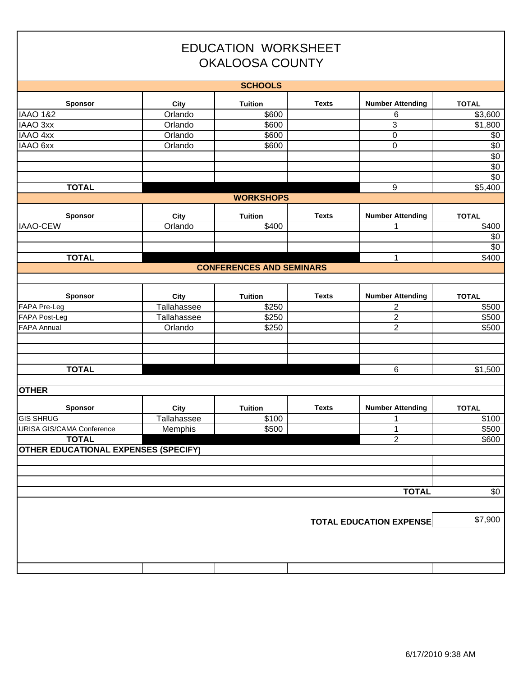| <b>EDUCATION WORKSHEET</b><br><b>OKALOOSA COUNTY</b> |                        |                                 |              |                                |                       |  |  |
|------------------------------------------------------|------------------------|---------------------------------|--------------|--------------------------------|-----------------------|--|--|
|                                                      |                        | <b>SCHOOLS</b>                  |              |                                |                       |  |  |
| Sponsor                                              | City                   | <b>Tuition</b>                  | <b>Texts</b> | <b>Number Attending</b>        | <b>TOTAL</b>          |  |  |
| <b>IAAO 1&amp;2</b>                                  | Orlando                | \$600                           |              | 6                              | \$3,600               |  |  |
| IAAO 3xx                                             | Orlando                | \$600                           |              | 3                              | \$1,800               |  |  |
| <b>IAAO 4xx</b>                                      | Orlando                | \$600                           |              | 0                              | \$0                   |  |  |
| IAAO 6xx                                             | Orlando                | \$600                           |              | 0                              | $\overline{50}$       |  |  |
|                                                      |                        |                                 |              |                                | $\overline{50}$       |  |  |
|                                                      |                        |                                 |              |                                | $\overline{50}$       |  |  |
|                                                      |                        |                                 |              |                                | \$0                   |  |  |
| <b>TOTAL</b>                                         |                        |                                 |              | $\boldsymbol{9}$               | \$5,400               |  |  |
|                                                      |                        | <b>WORKSHOPS</b>                |              |                                |                       |  |  |
| Sponsor                                              | City                   | <b>Tuition</b>                  | <b>Texts</b> | <b>Number Attending</b>        | <b>TOTAL</b>          |  |  |
| <b>IAAO-CEW</b>                                      | Orlando                | \$400                           |              | 1                              | \$400                 |  |  |
|                                                      |                        |                                 |              |                                | \$0                   |  |  |
|                                                      |                        |                                 |              |                                | $\sqrt{6}$            |  |  |
| <b>TOTAL</b>                                         |                        |                                 |              | $\mathbf{1}$                   | \$400                 |  |  |
|                                                      |                        | <b>CONFERENCES AND SEMINARS</b> |              |                                |                       |  |  |
|                                                      |                        |                                 |              |                                |                       |  |  |
|                                                      |                        |                                 | <b>Texts</b> |                                |                       |  |  |
| Sponsor<br>FAPA Pre-Leg                              | City<br>Tallahassee    | <b>Tuition</b><br>\$250         |              | <b>Number Attending</b><br>2   | <b>TOTAL</b><br>\$500 |  |  |
| FAPA Post-Leg                                        | Tallahassee            | \$250                           |              | 2                              | \$500                 |  |  |
| <b>FAPA Annual</b>                                   | Orlando                | \$250                           |              | $\overline{2}$                 | \$500                 |  |  |
|                                                      |                        |                                 |              |                                |                       |  |  |
|                                                      |                        |                                 |              |                                |                       |  |  |
|                                                      |                        |                                 |              |                                |                       |  |  |
| <b>TOTAL</b>                                         |                        |                                 |              | 6                              | \$1,500               |  |  |
|                                                      |                        |                                 |              |                                |                       |  |  |
| <b>OTHER</b>                                         |                        |                                 |              |                                |                       |  |  |
|                                                      |                        |                                 |              |                                |                       |  |  |
| <b>Sponsor</b>                                       | <b>City</b>            | <b>Tuition</b>                  | <b>Texts</b> | <b>Number Attending</b>        | <b>TOTAL</b>          |  |  |
| <b>GIS SHRUG</b><br>URISA GIS/CAMA Conference        | Tallahassee<br>Memphis | \$100<br>\$500                  |              | 1<br>$\mathbf{1}$              | \$100<br>\$500        |  |  |
| <b>TOTAL</b>                                         |                        |                                 |              | $\overline{2}$                 | \$600                 |  |  |
| <b>OTHER EDUCATIONAL EXPENSES (SPECIFY)</b>          |                        |                                 |              |                                |                       |  |  |
|                                                      |                        |                                 |              |                                |                       |  |  |
|                                                      |                        |                                 |              |                                |                       |  |  |
|                                                      |                        |                                 |              |                                |                       |  |  |
|                                                      |                        |                                 |              | <b>TOTAL</b>                   | \$0                   |  |  |
|                                                      |                        |                                 |              |                                |                       |  |  |
|                                                      |                        |                                 |              |                                |                       |  |  |
|                                                      |                        |                                 |              | <b>TOTAL EDUCATION EXPENSE</b> | \$7,900               |  |  |
|                                                      |                        |                                 |              |                                |                       |  |  |
|                                                      |                        |                                 |              |                                |                       |  |  |
|                                                      |                        |                                 |              |                                |                       |  |  |
|                                                      |                        |                                 |              |                                |                       |  |  |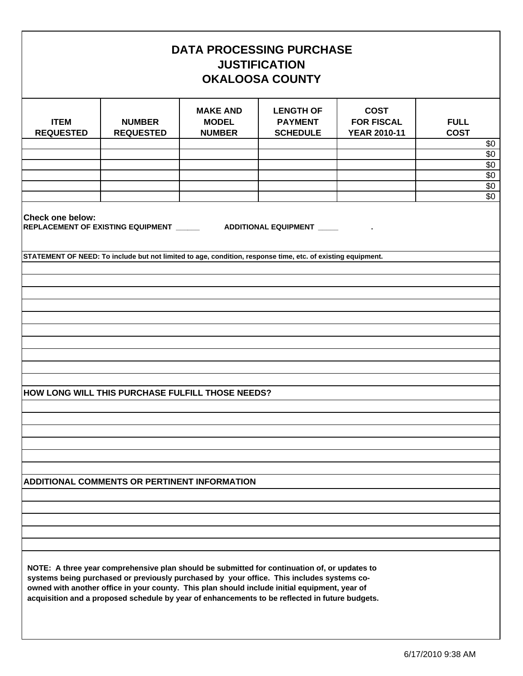| <b>DATA PROCESSING PURCHASE</b><br><b>JUSTIFICATION</b><br><b>OKALOOSA COUNTY</b> |                                                                                                                                                                                                                                                                                                                                                                                              |                                                  |                                                       |                                                         |                                   |  |  |
|-----------------------------------------------------------------------------------|----------------------------------------------------------------------------------------------------------------------------------------------------------------------------------------------------------------------------------------------------------------------------------------------------------------------------------------------------------------------------------------------|--------------------------------------------------|-------------------------------------------------------|---------------------------------------------------------|-----------------------------------|--|--|
| <b>ITEM</b><br><b>REQUESTED</b>                                                   | <b>NUMBER</b><br><b>REQUESTED</b>                                                                                                                                                                                                                                                                                                                                                            | <b>MAKE AND</b><br><b>MODEL</b><br><b>NUMBER</b> | <b>LENGTH OF</b><br><b>PAYMENT</b><br><b>SCHEDULE</b> | <b>COST</b><br><b>FOR FISCAL</b><br><b>YEAR 2010-11</b> | <b>FULL</b><br><b>COST</b><br>\$0 |  |  |
|                                                                                   |                                                                                                                                                                                                                                                                                                                                                                                              |                                                  |                                                       |                                                         | \$0<br>\$0                        |  |  |
|                                                                                   |                                                                                                                                                                                                                                                                                                                                                                                              |                                                  |                                                       |                                                         | \$0<br>\$0<br>$\overline{60}$     |  |  |
| <b>Check one below:</b>                                                           | REPLACEMENT OF EXISTING EQUIPMENT ________________ADDITIONAL EQUIPMENT __________                                                                                                                                                                                                                                                                                                            |                                                  |                                                       |                                                         |                                   |  |  |
|                                                                                   | STATEMENT OF NEED: To include but not limited to age, condition, response time, etc. of existing equipment.                                                                                                                                                                                                                                                                                  |                                                  |                                                       |                                                         |                                   |  |  |
|                                                                                   |                                                                                                                                                                                                                                                                                                                                                                                              |                                                  |                                                       |                                                         |                                   |  |  |
|                                                                                   |                                                                                                                                                                                                                                                                                                                                                                                              |                                                  |                                                       |                                                         |                                   |  |  |
|                                                                                   |                                                                                                                                                                                                                                                                                                                                                                                              |                                                  |                                                       |                                                         |                                   |  |  |
|                                                                                   |                                                                                                                                                                                                                                                                                                                                                                                              |                                                  |                                                       |                                                         |                                   |  |  |
|                                                                                   | HOW LONG WILL THIS PURCHASE FULFILL THOSE NEEDS?                                                                                                                                                                                                                                                                                                                                             |                                                  |                                                       |                                                         |                                   |  |  |
|                                                                                   |                                                                                                                                                                                                                                                                                                                                                                                              |                                                  |                                                       |                                                         |                                   |  |  |
|                                                                                   |                                                                                                                                                                                                                                                                                                                                                                                              |                                                  |                                                       |                                                         |                                   |  |  |
|                                                                                   |                                                                                                                                                                                                                                                                                                                                                                                              |                                                  |                                                       |                                                         |                                   |  |  |
|                                                                                   | ADDITIONAL COMMENTS OR PERTINENT INFORMATION                                                                                                                                                                                                                                                                                                                                                 |                                                  |                                                       |                                                         |                                   |  |  |
|                                                                                   |                                                                                                                                                                                                                                                                                                                                                                                              |                                                  |                                                       |                                                         |                                   |  |  |
|                                                                                   |                                                                                                                                                                                                                                                                                                                                                                                              |                                                  |                                                       |                                                         |                                   |  |  |
|                                                                                   |                                                                                                                                                                                                                                                                                                                                                                                              |                                                  |                                                       |                                                         |                                   |  |  |
|                                                                                   | NOTE: A three year comprehensive plan should be submitted for continuation of, or updates to<br>systems being purchased or previously purchased by your office. This includes systems co-<br>owned with another office in your county. This plan should include initial equipment, year of<br>acquisition and a proposed schedule by year of enhancements to be reflected in future budgets. |                                                  |                                                       |                                                         |                                   |  |  |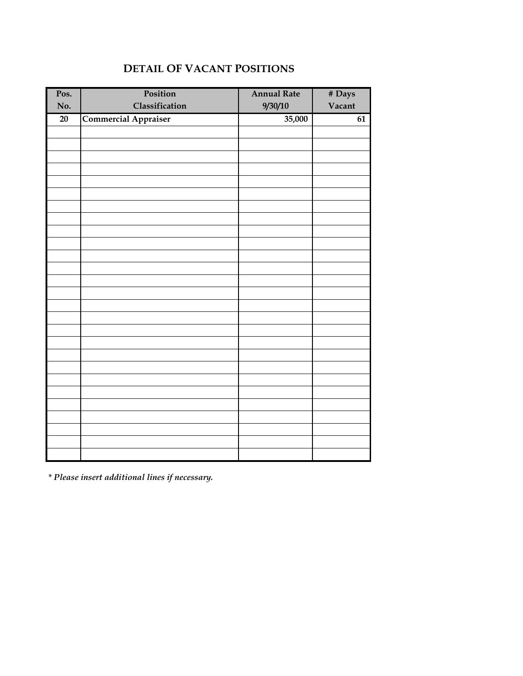| Pos. | Position                    | <b>Annual Rate</b> | # Days |
|------|-----------------------------|--------------------|--------|
| No.  | Classification              | 9/30/10            | Vacant |
| 20   |                             | 35,000             | 61     |
|      | <b>Commercial Appraiser</b> |                    |        |
|      |                             |                    |        |
|      |                             |                    |        |
|      |                             |                    |        |
|      |                             |                    |        |
|      |                             |                    |        |
|      |                             |                    |        |
|      |                             |                    |        |
|      |                             |                    |        |
|      |                             |                    |        |
|      |                             |                    |        |
|      |                             |                    |        |
|      |                             |                    |        |
|      |                             |                    |        |
|      |                             |                    |        |
|      |                             |                    |        |
|      |                             |                    |        |
|      |                             |                    |        |
|      |                             |                    |        |
|      |                             |                    |        |
|      |                             |                    |        |
|      |                             |                    |        |
|      |                             |                    |        |
|      |                             |                    |        |
|      |                             |                    |        |
|      |                             |                    |        |
|      |                             |                    |        |
|      |                             |                    |        |

## **DETAIL OF VACANT POSITIONS**

*\* Please insert additional lines if necessary.*